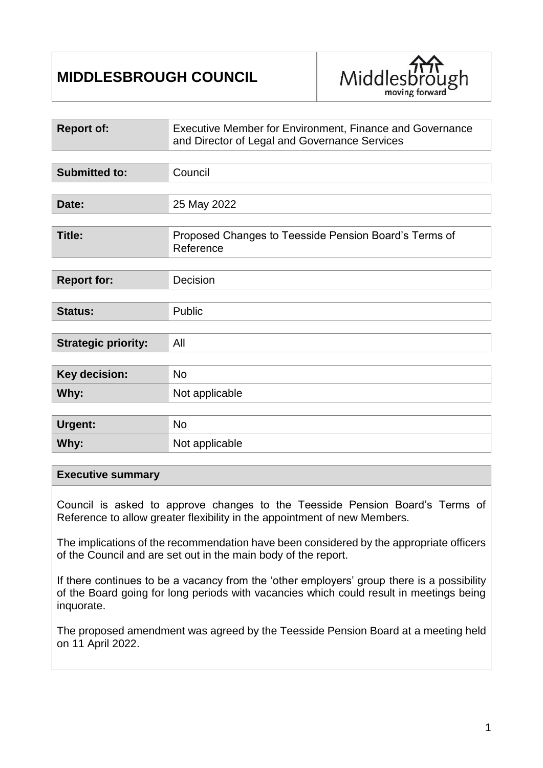# **MIDDLESBROUGH COUNCIL**



| <b>Report of:</b>          | Executive Member for Environment, Finance and Governance<br>and Director of Legal and Governance Services |  |
|----------------------------|-----------------------------------------------------------------------------------------------------------|--|
|                            |                                                                                                           |  |
| <b>Submitted to:</b>       | Council                                                                                                   |  |
|                            |                                                                                                           |  |
| Date:                      | 25 May 2022                                                                                               |  |
|                            |                                                                                                           |  |
| <b>Title:</b>              | Proposed Changes to Teesside Pension Board's Terms of<br>Reference                                        |  |
|                            |                                                                                                           |  |
| <b>Report for:</b>         | Decision                                                                                                  |  |
|                            |                                                                                                           |  |
| <b>Status:</b>             | Public                                                                                                    |  |
|                            |                                                                                                           |  |
| <b>Strategic priority:</b> | All                                                                                                       |  |
|                            |                                                                                                           |  |
| <b>Key decision:</b>       | <b>No</b>                                                                                                 |  |
| Why:                       | Not applicable                                                                                            |  |
|                            |                                                                                                           |  |
| Urgent:                    | <b>No</b>                                                                                                 |  |

#### **Executive summary**

**Why:** Not applicable

Council is asked to approve changes to the Teesside Pension Board's Terms of Reference to allow greater flexibility in the appointment of new Members.

The implications of the recommendation have been considered by the appropriate officers of the Council and are set out in the main body of the report.

If there continues to be a vacancy from the 'other employers' group there is a possibility of the Board going for long periods with vacancies which could result in meetings being inquorate.

The proposed amendment was agreed by the Teesside Pension Board at a meeting held on 11 April 2022.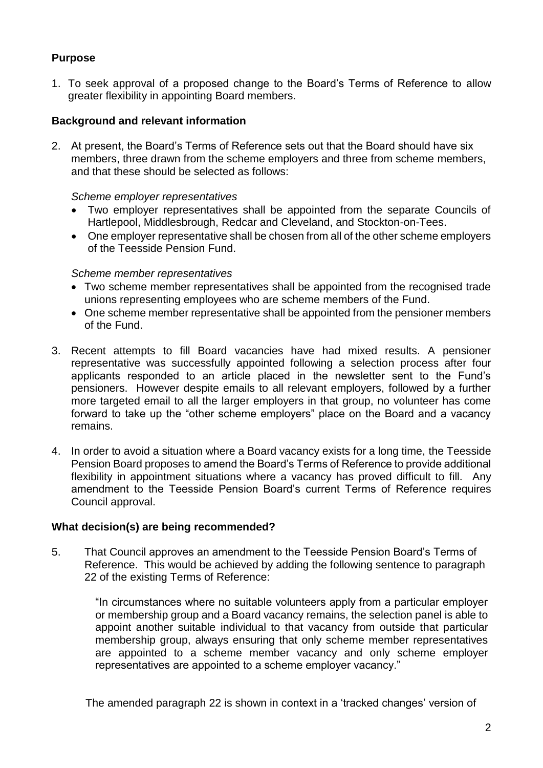# **Purpose**

1. To seek approval of a proposed change to the Board's Terms of Reference to allow greater flexibility in appointing Board members.

## **Background and relevant information**

2. At present, the Board's Terms of Reference sets out that the Board should have six members, three drawn from the scheme employers and three from scheme members, and that these should be selected as follows:

#### *Scheme employer representatives*

- Two employer representatives shall be appointed from the separate Councils of Hartlepool, Middlesbrough, Redcar and Cleveland, and Stockton-on-Tees.
- One employer representative shall be chosen from all of the other scheme employers of the Teesside Pension Fund.

#### *Scheme member representatives*

- Two scheme member representatives shall be appointed from the recognised trade unions representing employees who are scheme members of the Fund.
- One scheme member representative shall be appointed from the pensioner members of the Fund.
- 3. Recent attempts to fill Board vacancies have had mixed results. A pensioner representative was successfully appointed following a selection process after four applicants responded to an article placed in the newsletter sent to the Fund's pensioners. However despite emails to all relevant employers, followed by a further more targeted email to all the larger employers in that group, no volunteer has come forward to take up the "other scheme employers" place on the Board and a vacancy remains.
- 4. In order to avoid a situation where a Board vacancy exists for a long time, the Teesside Pension Board proposes to amend the Board's Terms of Reference to provide additional flexibility in appointment situations where a vacancy has proved difficult to fill. Any amendment to the Teesside Pension Board's current Terms of Reference requires Council approval.

#### **What decision(s) are being recommended?**

5. That Council approves an amendment to the Teesside Pension Board's Terms of Reference. This would be achieved by adding the following sentence to paragraph 22 of the existing Terms of Reference:

> "In circumstances where no suitable volunteers apply from a particular employer or membership group and a Board vacancy remains, the selection panel is able to appoint another suitable individual to that vacancy from outside that particular membership group, always ensuring that only scheme member representatives are appointed to a scheme member vacancy and only scheme employer representatives are appointed to a scheme employer vacancy."

The amended paragraph 22 is shown in context in a 'tracked changes' version of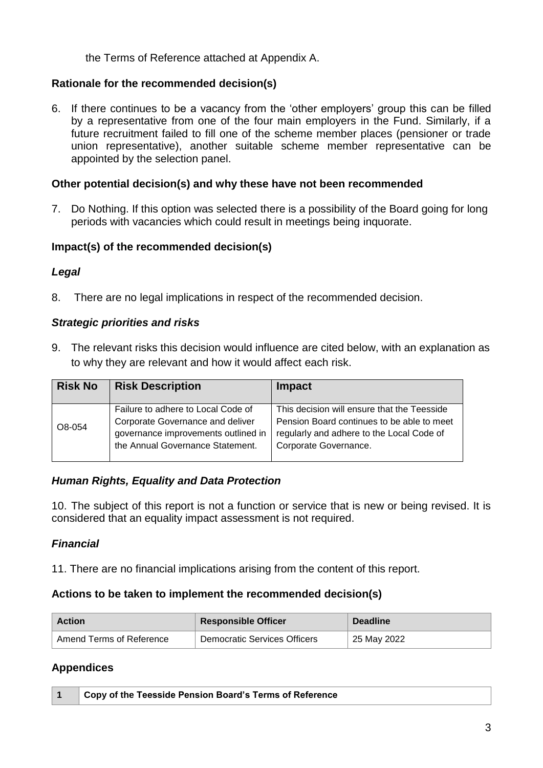the Terms of Reference attached at Appendix A.

# **Rationale for the recommended decision(s)**

6. If there continues to be a vacancy from the 'other employers' group this can be filled by a representative from one of the four main employers in the Fund. Similarly, if a future recruitment failed to fill one of the scheme member places (pensioner or trade union representative), another suitable scheme member representative can be appointed by the selection panel.

## **Other potential decision(s) and why these have not been recommended**

7. Do Nothing. If this option was selected there is a possibility of the Board going for long periods with vacancies which could result in meetings being inquorate.

#### **Impact(s) of the recommended decision(s)**

#### *Legal*

8. There are no legal implications in respect of the recommended decision.

#### *Strategic priorities and risks*

9. The relevant risks this decision would influence are cited below, with an explanation as to why they are relevant and how it would affect each risk.

| <b>Risk No</b> | <b>Risk Description</b>                                                                                                                           | Impact                                                                                                                                                          |
|----------------|---------------------------------------------------------------------------------------------------------------------------------------------------|-----------------------------------------------------------------------------------------------------------------------------------------------------------------|
| O8-054         | Failure to adhere to Local Code of<br>Corporate Governance and deliver<br>governance improvements outlined in<br>the Annual Governance Statement. | This decision will ensure that the Teesside<br>Pension Board continues to be able to meet<br>regularly and adhere to the Local Code of<br>Corporate Governance. |

#### *Human Rights, Equality and Data Protection*

10. The subject of this report is not a function or service that is new or being revised. It is considered that an equality impact assessment is not required.

# *Financial*

11. There are no financial implications arising from the content of this report.

# **Actions to be taken to implement the recommended decision(s)**

| <b>Action</b>            | <b>Responsible Officer</b>   | <b>Deadline</b> |
|--------------------------|------------------------------|-----------------|
| Amend Terms of Reference | Democratic Services Officers | 25 May 2022     |

# **Appendices**

|  | Copy of the Teesside Pension Board's Terms of Reference |
|--|---------------------------------------------------------|
|--|---------------------------------------------------------|